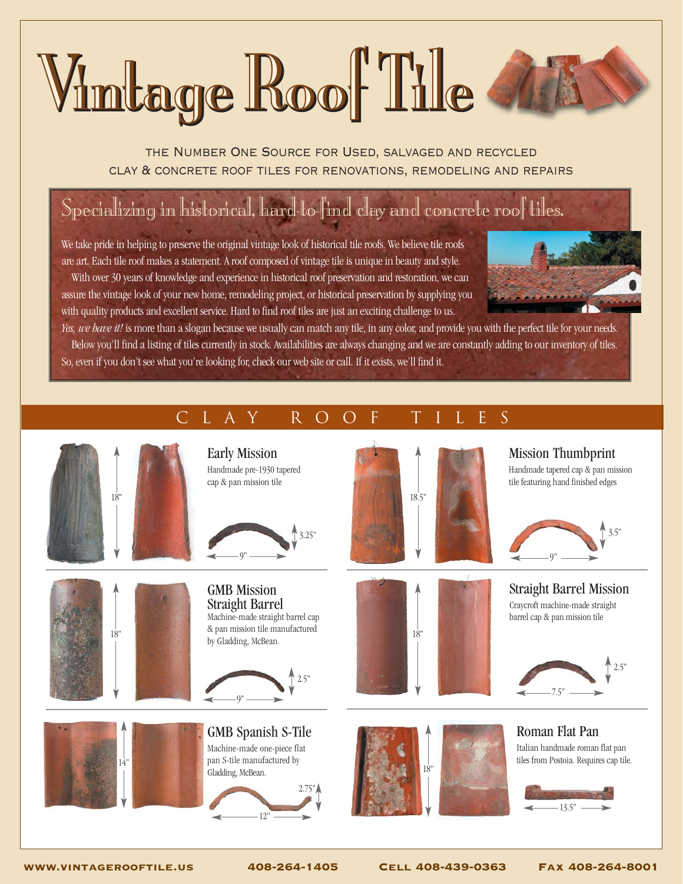# Vimtage Roof Tile

the Number One Source for Used, salvaged and recycled clay & concrete roof tiles for renovations, remodeling and repairs

## Specializing in historical, hard-to-find clay and concrete roof tiles.

We take pride in helping to preserve the original vintage look of historical tile roofs. We believe tile roofs are art. Each tile roof makes a statement. A roof composed of vintage tile is unique in beauty and style. With over 30 years of knowledge and experience in historical roof preservation and restoration, we can assure the vintage look of your new home, remodeling project, or historical preservation by supplying you with quality products and excellent service. Hard to find roof tiles are just an exciting challenge to us.



*Yes, we have it!* is more than a slogan because we usually can match any tile, in any color, and provide you with the perfect tile for your needs. Below you'll find a listing of tiles currently in stock. Availabilities are always changing and we are constantly adding to our inventory of tiles. So, even if you don't see what you're looking for, check our web site or call. If it exists, we'll find it.

#### clay Roof Tiles







Early Mission Handmade pre-1930 tapered cap & pan mission tile



GMB Mission Straight Barrel Machine-made straight barrel cap & pan mission tile manufactured by Gladding, McBean.



GMB Spanish S-Tile Machine-made one-piece flat pan S-tile manufactured by Gladding, McBean.









Mission Thumbprint Handmade tapered cap & pan mission

tile featuring hand finished edges



Straight Barrel Mission Craycroft machine-made straight barrel cap & pan mission tile



Roman Flat Pan Italian handmade roman flat pan tiles from Postoia. Requires cap tile.



www.vintagerooftile.us 408-264-1405 Cell 408-439-0363 Fax 408-264-8001